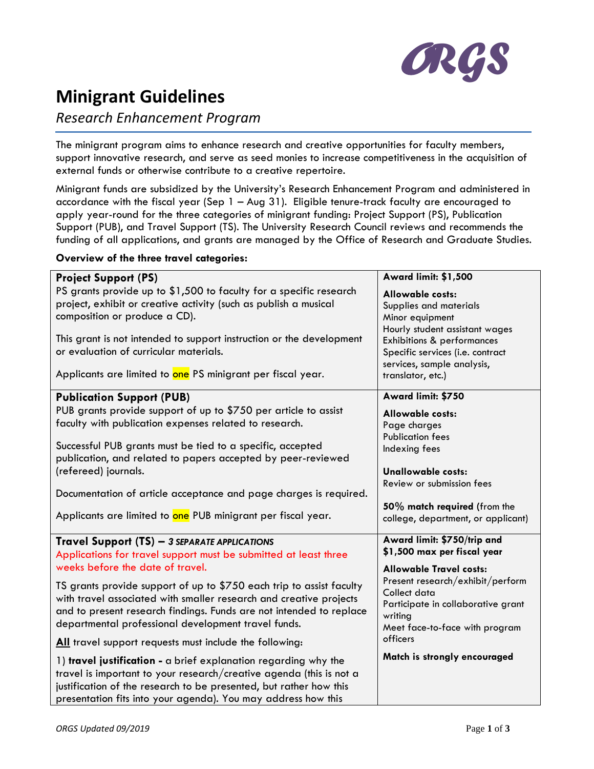

# **Minigrant Guidelines**

# *Research Enhancement Program*

The minigrant program aims to enhance research and creative opportunities for faculty members, support innovative research, and serve as seed monies to increase competitiveness in the acquisition of external funds or otherwise contribute to a creative repertoire.

Minigrant funds are subsidized by the University's Research Enhancement Program and administered in accordance with the fiscal year (Sep 1 – Aug 31). Eligible tenure-track faculty are encouraged to apply year-round for the three categories of minigrant funding: Project Support (PS), Publication Support (PUB), and Travel Support (TS). The University Research Council reviews and recommends the funding of all applications, and grants are managed by the Office of Research and Graduate Studies.

## **Overview of the three travel categories:**

| <b>Project Support (PS)</b>                                          | <b>Award limit: \$1,500</b>           |
|----------------------------------------------------------------------|---------------------------------------|
| PS grants provide up to \$1,500 to faculty for a specific research   | <b>Allowable costs:</b>               |
| project, exhibit or creative activity (such as publish a musical     | Supplies and materials                |
| composition or produce a CD).                                        | Minor equipment                       |
|                                                                      | Hourly student assistant wages        |
| This grant is not intended to support instruction or the development | <b>Exhibitions &amp; performances</b> |
| or evaluation of curricular materials.                               | Specific services (i.e. contract      |
| Applicants are limited to one PS minigrant per fiscal year.          | services, sample analysis,            |
|                                                                      | translator, etc.)                     |
| <b>Publication Support (PUB)</b>                                     | Award limit: \$750                    |
| PUB grants provide support of up to \$750 per article to assist      | <b>Allowable costs:</b>               |
| faculty with publication expenses related to research.               | Page charges                          |
|                                                                      | <b>Publication fees</b>               |
| Successful PUB grants must be tied to a specific, accepted           | Indexing fees                         |
| publication, and related to papers accepted by peer-reviewed         |                                       |
| (refereed) journals.                                                 | <b>Unallowable costs:</b>             |
|                                                                      | Review or submission fees             |
| Documentation of article acceptance and page charges is required.    |                                       |
| Applicants are limited to one PUB minigrant per fiscal year.         | 50% match required (from the          |
|                                                                      | college, department, or applicant)    |
| Travel Support (TS) - 3 SEPARATE APPLICATIONS                        | Award limit: \$750/trip and           |
| Applications for travel support must be submitted at least three     | \$1,500 max per fiscal year           |
| weeks before the date of travel.                                     | <b>Allowable Travel costs:</b>        |
|                                                                      | Present research/exhibit/perform      |
| TS grants provide support of up to \$750 each trip to assist faculty | Collect data                          |
| with travel associated with smaller research and creative projects   | Participate in collaborative grant    |
| and to present research findings. Funds are not intended to replace  | writing                               |
| departmental professional development travel funds.                  | Meet face-to-face with program        |
| All travel support requests must include the following:              | officers                              |
| 1) travel justification - a brief explanation regarding why the      | Match is strongly encouraged          |
| travel is important to your research/creative agenda (this is not a  |                                       |
| justification of the research to be presented, but rather how this   |                                       |
| presentation fits into your agenda). You may address how this        |                                       |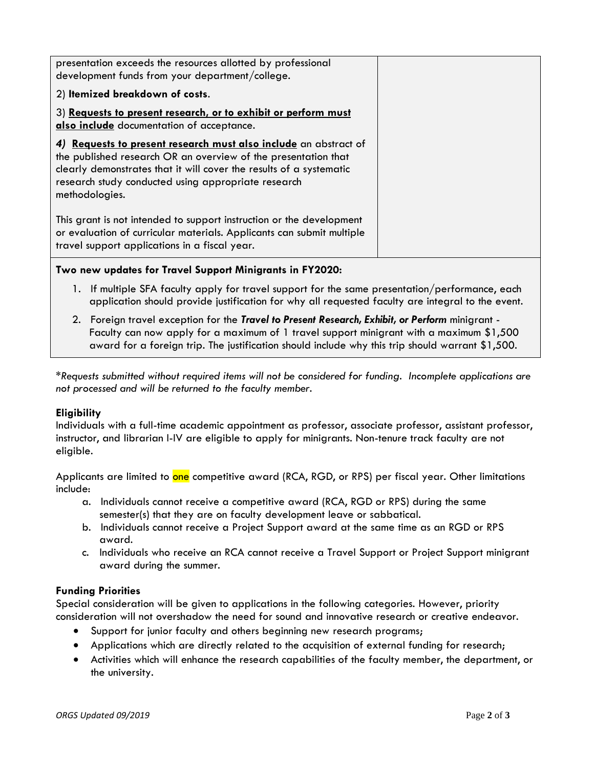| presentation exceeds the resources allotted by professional                                                                                                                                                                                                                        |  |
|------------------------------------------------------------------------------------------------------------------------------------------------------------------------------------------------------------------------------------------------------------------------------------|--|
| development funds from your department/college.                                                                                                                                                                                                                                    |  |
| 2) Itemized breakdown of costs.                                                                                                                                                                                                                                                    |  |
| 3) Requests to present research, or to exhibit or perform must<br>also include documentation of acceptance.                                                                                                                                                                        |  |
| 4) Requests to present research must also include an abstract of<br>the published research OR an overview of the presentation that<br>clearly demonstrates that it will cover the results of a systematic<br>research study conducted using appropriate research<br>methodologies. |  |
| This grant is not intended to support instruction or the development<br>or evaluation of curricular materials. Applicants can submit multiple<br>travel support applications in a fiscal year.                                                                                     |  |

# **Two new updates for Travel Support Minigrants in FY2020:**

- 1. If multiple SFA faculty apply for travel support for the same presentation/performance, each application should provide justification for why all requested faculty are integral to the event.
- 2. Foreign travel exception for the *Travel to Present Research, Exhibit, or Perform* minigrant Faculty can now apply for a maximum of 1 travel support minigrant with a maximum \$1,500 award for a foreign trip. The justification should include why this trip should warrant \$1,500.

*\*Requests submitted without required items will not be considered for funding. Incomplete applications are not processed and will be returned to the faculty member.*

## **Eligibility**

Individuals with a full-time academic appointment as professor, associate professor, assistant professor, instructor, and librarian I-IV are eligible to apply for minigrants. Non-tenure track faculty are not eligible.

Applicants are limited to one competitive award (RCA, RGD, or RPS) per fiscal year. Other limitations include:

- a. Individuals cannot receive a competitive award (RCA, RGD or RPS) during the same semester(s) that they are on faculty development leave or sabbatical.
- b. Individuals cannot receive a Project Support award at the same time as an RGD or RPS award.
- c. Individuals who receive an RCA cannot receive a Travel Support or Project Support minigrant award during the summer.

## **Funding Priorities**

Special consideration will be given to applications in the following categories. However, priority consideration will not overshadow the need for sound and innovative research or creative endeavor.

- Support for junior faculty and others beginning new research programs;
- Applications which are directly related to the acquisition of external funding for research;
- Activities which will enhance the research capabilities of the faculty member, the department, or the university.